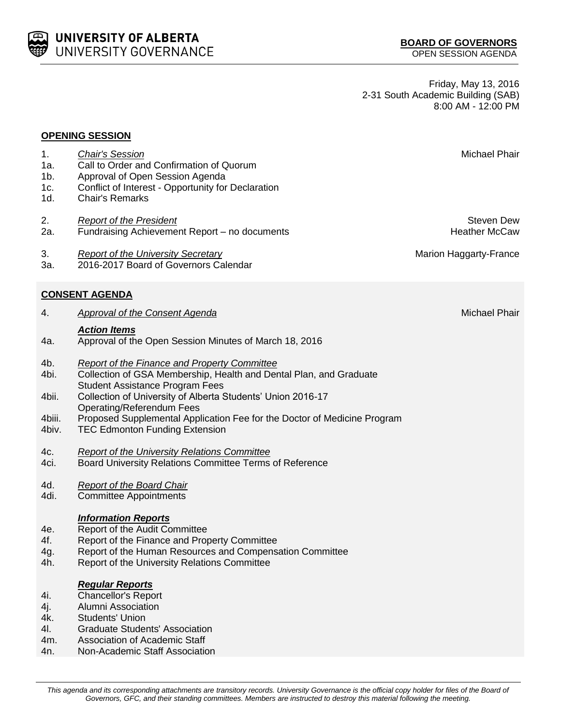This agenda and its corresponding attachments are transitory records. University Governance is the official copy holder for files of the Board of *Governors, GFC, and their standing committees. Members are instructed to destroy this material following the meeting.*

Friday, May 13, 2016 2-31 South Academic Building (SAB) 8:00 AM - 12:00 PM

## **OPENING SESSION**

UNIVERSITY OF ALBERTA UNIVERSITY GOVERNANCE

- 1. **Chair's Session** Michael Phair **Michael Phair** Michael Phair **Michael Phair** Michael Phair **Michael Phair** 1a. Call to Order and Confirmation of Quorum 1b. Approval of Open Session Agenda 1c. Conflict of Interest - Opportunity for Declaration 1d. Chair's Remarks 2. *Report of the President* Steven Dew Steven Dew Steven Dew Steven Dew Steven Dew Steven Dew Steven Dew Steven Dew Steven Dew Steven Dew Steven Dew Steven Dew Steven Dew Steven Dew Steven Dew Steven Dew Steven Dew Stev 2a. Fundraising Achievement Report – no documents Theorem and Heather McCaw 3. *Report of the University Secretary* Marion Haggarty-France **Marion Haggarty-France** 3a. 2016-2017 Board of Governors Calendar **CONSENT AGENDA** 4. *Approval of the Consent Agenda* Michael Phair and Agent Agent Agent Agent Agent Agent Agent Agent Agent Agent Agent Agent Agent Agent Agent Agent Agent Agent Agent Agent Agent Agent Agent Agent Agent Agent Agent Agent *Action Items* 4a. Approval of the Open Session Minutes of March 18, 2016 4b. *Report of the Finance and Property Committee*
- 4bi. Collection of GSA Membership, Health and Dental Plan, and Graduate Student Assistance Program Fees
- 4bii. Collection of University of Alberta Students' Union 2016-17 Operating/Referendum Fees
- 4biii. Proposed Supplemental Application Fee for the Doctor of Medicine Program
- 4biv. TEC Edmonton Funding Extension
- 4c. *Report of the University Relations Committee*
- 4ci. Board University Relations Committee Terms of Reference
- 4d. *Report of the Board Chair*
- 4di. Committee Appointments

## *Information Reports*

- 4e. Report of the Audit Committee
- 4f. Report of the Finance and Property Committee
- 4g. Report of the Human Resources and Compensation Committee
- 4h. Report of the University Relations Committee

## *Regular Reports*

- 4i. Chancellor's Report
- 4j. Alumni Association
- 4k. Students' Union
- 4l. Graduate Students' Association
- 4m. Association of Academic Staff
- 4n. Non-Academic Staff Association